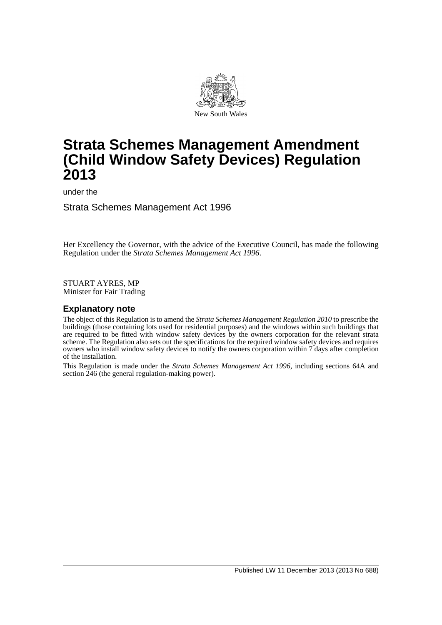

# **Strata Schemes Management Amendment (Child Window Safety Devices) Regulation 2013**

under the

Strata Schemes Management Act 1996

Her Excellency the Governor, with the advice of the Executive Council, has made the following Regulation under the *Strata Schemes Management Act 1996*.

STUART AYRES, MP Minister for Fair Trading

## **Explanatory note**

The object of this Regulation is to amend the *Strata Schemes Management Regulation 2010* to prescribe the buildings (those containing lots used for residential purposes) and the windows within such buildings that are required to be fitted with window safety devices by the owners corporation for the relevant strata scheme. The Regulation also sets out the specifications for the required window safety devices and requires owners who install window safety devices to notify the owners corporation within 7 days after completion of the installation.

This Regulation is made under the *Strata Schemes Management Act 1996*, including sections 64A and section 246 (the general regulation-making power).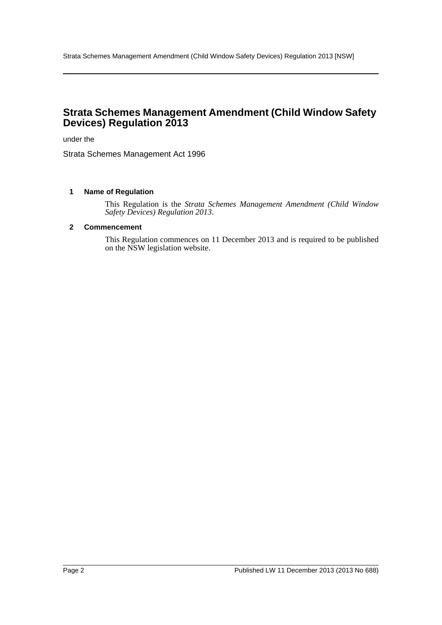# **Strata Schemes Management Amendment (Child Window Safety Devices) Regulation 2013**

under the

Strata Schemes Management Act 1996

#### **1 Name of Regulation**

This Regulation is the *Strata Schemes Management Amendment (Child Window Safety Devices) Regulation 2013*.

#### **2 Commencement**

This Regulation commences on 11 December 2013 and is required to be published on the NSW legislation website.